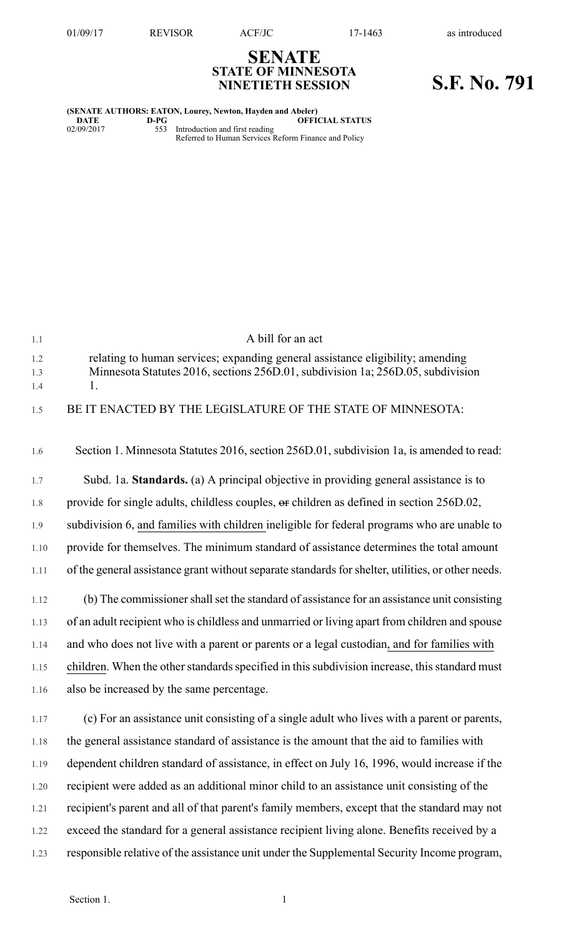## **SENATE STATE OF MINNESOTA NINETIETH SESSION S.F. No. 791**

| (SENATE AUTHORS: EATON, Lourey, Newton, Hayden and Abeler) |      |                                                      |
|------------------------------------------------------------|------|------------------------------------------------------|
| DATE                                                       | D-PG | <b>OFFICIAL STATUS</b>                               |
| 02/09/2017                                                 | 553  | Introduction and first reading                       |
|                                                            |      | Referred to Human Services Reform Finance and Policy |

| 1.1        | A bill for an act                                                                                  |
|------------|----------------------------------------------------------------------------------------------------|
| 1.2        | relating to human services; expanding general assistance eligibility; amending                     |
| 1.3<br>1.4 | Minnesota Statutes 2016, sections 256D.01, subdivision 1a; 256D.05, subdivision<br>1.              |
| 1.5        | BE IT ENACTED BY THE LEGISLATURE OF THE STATE OF MINNESOTA:                                        |
| 1.6        | Section 1. Minnesota Statutes 2016, section 256D.01, subdivision 1a, is amended to read:           |
| 1.7        | Subd. 1a. Standards. (a) A principal objective in providing general assistance is to               |
| 1.8        | provide for single adults, childless couples, or children as defined in section 256D.02,           |
| 1.9        | subdivision 6, and families with children ineligible for federal programs who are unable to        |
| 1.10       | provide for themselves. The minimum standard of assistance determines the total amount             |
| 1.11       | of the general assistance grant without separate standards for shelter, utilities, or other needs. |
| 1.12       | (b) The commissioner shall set the standard of assistance for an assistance unit consisting        |
| 1.13       | of an adult recipient who is childless and unmarried or living apart from children and spouse      |
| 1.14       | and who does not live with a parent or parents or a legal custodian, and for families with         |
| 1.15       | children. When the other standards specified in this subdivision increase, this standard must      |
| 1.16       | also be increased by the same percentage.                                                          |
| 1.17       | (c) For an assistance unit consisting of a single adult who lives with a parent or parents,        |
| 1.18       | the general assistance standard of assistance is the amount that the aid to families with          |
| 1.19       | dependent children standard of assistance, in effect on July 16, 1996, would increase if the       |
| 1.20       | recipient were added as an additional minor child to an assistance unit consisting of the          |
| 1.21       | recipient's parent and all of that parent's family members, except that the standard may not       |
| 1.22       | exceed the standard for a general assistance recipient living alone. Benefits received by a        |
| 1.23       | responsible relative of the assistance unit under the Supplemental Security Income program,        |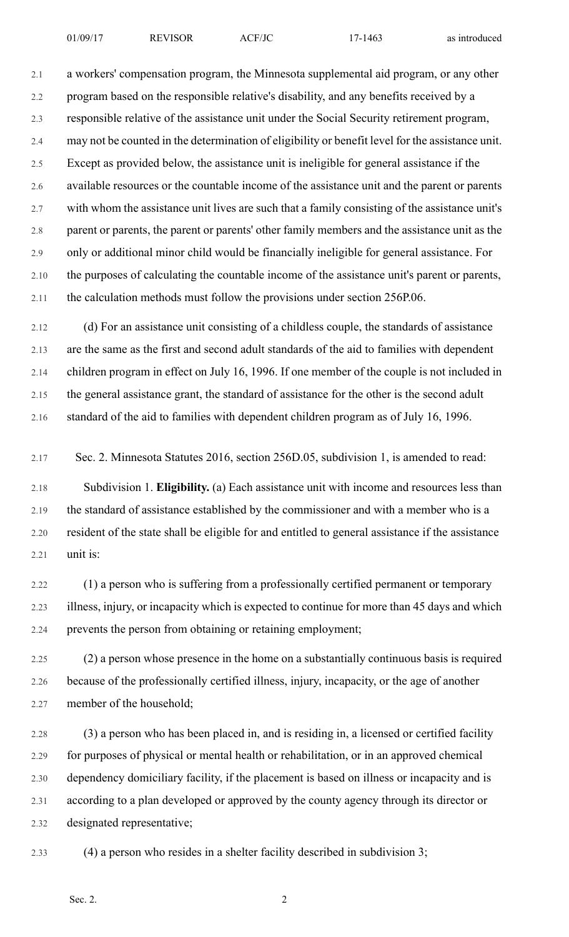2.1 a workers' compensation program, the Minnesota supplemental aid program, or any other 2.2 program based on the responsible relative's disability, and any benefits received by a 2.3 responsible relative of the assistance unit under the Social Security retirement program, 2.4 may not be counted in the determination of eligibility or benefit level for the assistance unit. 2.5 Except as provided below, the assistance unit is ineligible for general assistance if the 2.6 available resources or the countable income of the assistance unit and the parent or parents 2.7 with whom the assistance unit lives are such that a family consisting of the assistance unit's 2.8 parent or parents, the parent or parents' other family members and the assistance unit as the 2.9 only or additional minor child would be financially ineligible for general assistance. For 2.10 the purposes of calculating the countable income of the assistance unit's parent or parents, 2.11 the calculation methods must follow the provisions under section 256P.06.

2.12 (d) For an assistance unit consisting of a childless couple, the standards of assistance 2.13 are the same as the first and second adult standards of the aid to families with dependent 2.14 children program in effect on July 16, 1996. If one member of the couple is not included in 2.15 the general assistance grant, the standard of assistance for the other is the second adult 2.16 standard of the aid to families with dependent children program as of July 16, 1996.

2.17 Sec. 2. Minnesota Statutes 2016, section 256D.05, subdivision 1, is amended to read:

2.18 Subdivision 1. **Eligibility.** (a) Each assistance unit with income and resources less than 2.19 the standard of assistance established by the commissioner and with a member who is a 2.20 resident of the state shall be eligible for and entitled to general assistance if the assistance 2.21 unit is:

2.22 (1) a person who is suffering from a professionally certified permanent or temporary 2.23 illness, injury, or incapacity which is expected to continue for more than 45 days and which 2.24 prevents the person from obtaining or retaining employment;

2.25 (2) a person whose presence in the home on a substantially continuous basis is required 2.26 because of the professionally certified illness, injury, incapacity, or the age of another 2.27 member of the household;

2.28 (3) a person who has been placed in, and is residing in, a licensed or certified facility 2.29 for purposes of physical or mental health or rehabilitation, or in an approved chemical 2.30 dependency domiciliary facility, if the placement is based on illness or incapacity and is 2.31 according to a plan developed or approved by the county agency through its director or 2.32 designated representative;

2.33 (4) a person who resides in a shelter facility described in subdivision 3;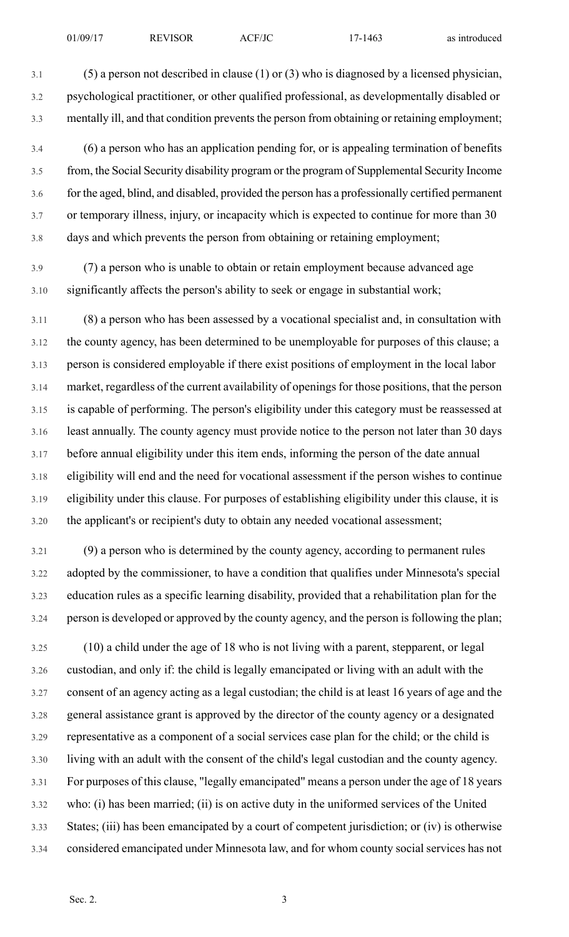3.1 (5) a person not described in clause (1) or (3) who is diagnosed by a licensed physician, 3.2 psychological practitioner, or other qualified professional, as developmentally disabled or 3.3 mentally ill, and that condition prevents the person from obtaining or retaining employment;

- 3.4 (6) a person who has an application pending for, or is appealing termination of benefits 3.5 from, the Social Security disability program or the program of Supplemental Security Income 3.6 for the aged, blind, and disabled, provided the person has a professionally certified permanent 3.7 or temporary illness, injury, or incapacity which is expected to continue for more than 30 3.8 days and which prevents the person from obtaining or retaining employment;
- 3.9 (7) a person who is unable to obtain or retain employment because advanced age 3.10 significantly affects the person's ability to seek or engage in substantial work;

3.11 (8) a person who has been assessed by a vocational specialist and, in consultation with 3.12 the county agency, has been determined to be unemployable for purposes of this clause; a 3.13 person is considered employable if there exist positions of employment in the local labor 3.14 market, regardless of the current availability of openings for those positions, that the person 3.15 is capable of performing. The person's eligibility under this category must be reassessed at 3.16 least annually. The county agency must provide notice to the person not later than 30 days 3.17 before annual eligibility under this item ends, informing the person of the date annual 3.18 eligibility will end and the need for vocational assessment if the person wishes to continue 3.19 eligibility under this clause. For purposes of establishing eligibility under this clause, it is 3.20 the applicant's or recipient's duty to obtain any needed vocational assessment;

3.21 (9) a person who is determined by the county agency, according to permanent rules 3.22 adopted by the commissioner, to have a condition that qualifies under Minnesota's special 3.23 education rules as a specific learning disability, provided that a rehabilitation plan for the 3.24 person is developed or approved by the county agency, and the person is following the plan;

3.25 (10) a child under the age of 18 who is not living with a parent, stepparent, or legal 3.26 custodian, and only if: the child is legally emancipated or living with an adult with the 3.27 consent of an agency acting as a legal custodian; the child is at least 16 years of age and the 3.28 general assistance grant is approved by the director of the county agency or a designated 3.29 representative as a component of a social services case plan for the child; or the child is 3.30 living with an adult with the consent of the child's legal custodian and the county agency. 3.31 For purposes of this clause, "legally emancipated" means a person under the age of 18 years 3.32 who: (i) has been married; (ii) is on active duty in the uniformed services of the United 3.33 States; (iii) has been emancipated by a court of competent jurisdiction; or (iv) is otherwise 3.34 considered emancipated under Minnesota law, and for whom county social services has not